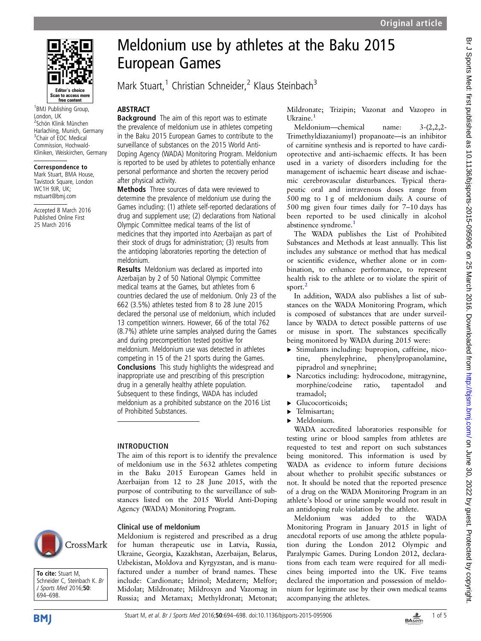



<sup>1</sup>BMJ Publishing Group, London, UK 2 Schön Klinik München Harlaching, Munich, Germany <sup>3</sup>Chair of EOC Medical Commission, Hochwald-Kliniken, Weiskirchen, Germany

#### Correspondence to

Mark Stuart, BMA House, Tavistock Square, London WC1H 9JR, UK; mstuart@bmj.com

Accepted 8 March 2016 Published Online First 25 March 2016

# Meldonium use by athletes at the Baku 2015 European Games

Mark Stuart,<sup>1</sup> Christian Schneider,<sup>2</sup> Klaus Steinbach<sup>3</sup>

## ABSTRACT

Background The aim of this report was to estimate the prevalence of meldonium use in athletes competing in the Baku 2015 European Games to contribute to the surveillance of substances on the 2015 World Anti-Doping Agency (WADA) Monitoring Program. Meldonium is reported to be used by athletes to potentially enhance personal performance and shorten the recovery period after physical activity.

Methods Three sources of data were reviewed to determine the prevalence of meldonium use during the Games including: (1) athlete self-reported declarations of drug and supplement use; (2) declarations from National Olympic Committee medical teams of the list of medicines that they imported into Azerbaijan as part of their stock of drugs for administration; (3) results from the antidoping laboratories reporting the detection of meldonium.

Results Meldonium was declared as imported into Azerbaijan by 2 of 50 National Olympic Committee medical teams at the Games, but athletes from 6 countries declared the use of meldonium. Only 23 of the 662 (3.5%) athletes tested from 8 to 28 June 2015 declared the personal use of meldonium, which included 13 competition winners. However, 66 of the total 762 (8.7%) athlete urine samples analysed during the Games and during precompetition tested positive for meldonium. Meldonium use was detected in athletes competing in 15 of the 21 sports during the Games. Conclusions This study highlights the widespread and inappropriate use and prescribing of this prescription drug in a generally healthy athlete population. Subsequent to these findings, WADA has included meldonium as a prohibited substance on the 2016 List of Prohibited Substances.

## INTRODUCTION

The aim of this report is to identify the prevalence of meldonium use in the 5632 athletes competing in the Baku 2015 European Games held in Azerbaijan from 12 to 28 June 2015, with the purpose of contributing to the surveillance of substances listed on the 2015 World Anti-Doping Agency (WADA) Monitoring Program.

## Clinical use of meldonium

Meldonium is registered and prescribed as a drug for human therapeutic use in Latvia, Russia, Ukraine, Georgia, Kazakhstan, Azerbaijan, Belarus, Uzbekistan, Moldova and Kyrgyzstan, and is manufactured under a number of brand names. These include: Cardionate; Idrinol; Medatern; Melfor; Midolat; Mildronate; Mildroxyn and Vazomag in Russia; and Metamax; Methyldronat; Metonat;

Mildronate; Trizipin; Vazonat and Vazopro in Ukraine.[1](#page-4-0)

Meldonium—chemical name: 3-(2,2,2- Trimethyldiazaniumyl) propanoate—is an inhibitor of carnitine synthesis and is reported to have cardioprotective and anti-ischaemic effects. It has been used in a variety of disorders including for the management of ischaemic heart disease and ischaemic cerebrovascular disturbances. Typical therapeutic oral and intravenous doses range from 500 mg to 1 g of meldonium daily. A course of 500 mg given four times daily for 7–10 days has been reported to be used clinically in alcohol abstinence syndrome.<sup>[1](#page-4-0)</sup>

The WADA publishes the List of Prohibited Substances and Methods at least annually. This list includes any substance or method that has medical or scientific evidence, whether alone or in combination, to enhance performance, to represent health risk to the athlete or to violate the spirit of sport.<sup>2</sup>

In addition, WADA also publishes a list of substances on the WADA Monitoring Program, which is composed of substances that are under surveillance by WADA to detect possible patterns of use or misuse in sport. The substances specifically being monitored by WADA during 2015 were:

- ▸ Stimulants including: bupropion, caffeine, nicotine, phenylephrine, phenylpropanolamine, pipradrol and synephrine;
- ▸ Narcotics including: hydrocodone, mitragynine, morphine/codeine ratio, tapentadol and tramadol;
- Glucocorticoids;
- Telmisartan;
- Meldonium.

WADA accredited laboratories responsible for testing urine or blood samples from athletes are requested to test and report on such substances being monitored. This information is used by WADA as evidence to inform future decisions about whether to prohibit specific substances or not. It should be noted that the reported presence of a drug on the WADA Monitoring Program in an athlete's blood or urine sample would not result in an antidoping rule violation by the athlete.

Meldonium was added to the WADA Monitoring Program in January 2015 in light of anecdotal reports of use among the athlete population during the London 2012 Olympic and Paralympic Games. During London 2012, declarations from each team were required for all medicines being imported into the UK. Five teams declared the importation and possession of meldonium for legitimate use by their own medical teams accompanying the athletes.



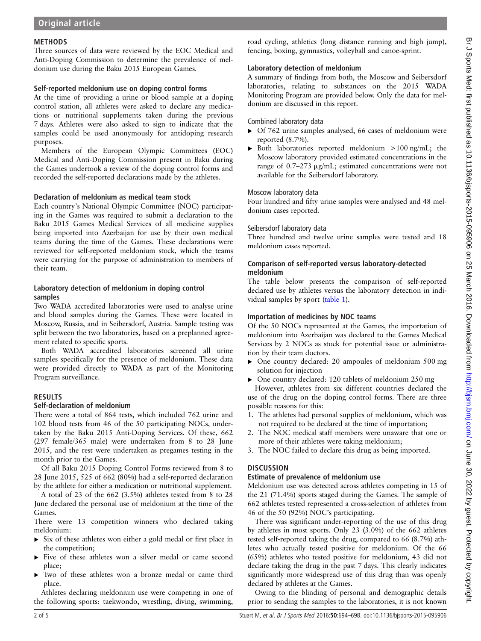#### METHODS

Three sources of data were reviewed by the EOC Medical and Anti-Doping Commission to determine the prevalence of meldonium use during the Baku 2015 European Games.

#### Self-reported meldonium use on doping control forms

At the time of providing a urine or blood sample at a doping control station, all athletes were asked to declare any medications or nutritional supplements taken during the previous 7 days. Athletes were also asked to sign to indicate that the samples could be used anonymously for antidoping research purposes.

Members of the European Olympic Committees (EOC) Medical and Anti-Doping Commission present in Baku during the Games undertook a review of the doping control forms and recorded the self-reported declarations made by the athletes.

#### Declaration of meldonium as medical team stock

Each country's National Olympic Committee (NOC) participating in the Games was required to submit a declaration to the Baku 2015 Games Medical Services of all medicine supplies being imported into Azerbaijan for use by their own medical teams during the time of the Games. These declarations were reviewed for self-reported meldonium stock, which the teams were carrying for the purpose of administration to members of their team.

## Laboratory detection of meldonium in doping control samples

Two WADA accredited laboratories were used to analyse urine and blood samples during the Games. These were located in Moscow, Russia, and in Seibersdorf, Austria. Sample testing was split between the two laboratories, based on a preplanned agreement related to specific sports.

Both WADA accredited laboratories screened all urine samples specifically for the presence of meldonium. These data were provided directly to WADA as part of the Monitoring Program surveillance.

## RESULTS

## Self-declaration of meldonium

There were a total of 864 tests, which included 762 urine and 102 blood tests from 46 of the 50 participating NOCs, undertaken by the Baku 2015 Anti-Doping Services. Of these, 662 (297 female/365 male) were undertaken from 8 to 28 June 2015, and the rest were undertaken as pregames testing in the month prior to the Games.

Of all Baku 2015 Doping Control Forms reviewed from 8 to 28 June 2015, 525 of 662 (80%) had a self-reported declaration by the athlete for either a medication or nutritional supplement.

A total of 23 of the 662 (3.5%) athletes tested from 8 to 28 June declared the personal use of meldonium at the time of the Games.

There were 13 competition winners who declared taking meldonium:

- ▸ Six of these athletes won either a gold medal or first place in the competition;
- ▸ Five of these athletes won a silver medal or came second place;
- ▸ Two of these athletes won a bronze medal or came third place.

Athletes declaring meldonium use were competing in one of the following sports: taekwondo, wrestling, diving, swimming,

road cycling, athletics (long distance running and high jump), fencing, boxing, gymnastics, volleyball and canoe-sprint.

## Laboratory detection of meldonium

A summary of findings from both, the Moscow and Seibersdorf laboratories, relating to substances on the 2015 WADA Monitoring Program are provided below. Only the data for meldonium are discussed in this report.

## Combined laboratory data

- ▸ Of 762 urine samples analysed, 66 cases of meldonium were reported (8.7%).
- ▸ Both laboratories reported meldonium >100 ng/mL; the Moscow laboratory provided estimated concentrations in the range of  $0.7-273 \mu g/mL$ ; estimated concentrations were not available for the Seibersdorf laboratory.

#### Moscow laboratory data

Four hundred and fifty urine samples were analysed and 48 meldonium cases reported.

## Seibersdorf laboratory data

Three hundred and twelve urine samples were tested and 18 meldonium cases reported.

## Comparison of self-reported versus laboratory-detected meldonium

The table below presents the comparison of self-reported declared use by athletes versus the laboratory detection in individual samples by sport [\(table 1](#page-2-0)).

## Importation of medicines by NOC teams

Of the 50 NOCs represented at the Games, the importation of meldonium into Azerbaijan was declared to the Games Medical Services by 2 NOCs as stock for potential issue or administration by their team doctors.

- ▸ One country declared: 20 ampoules of meldonium 500 mg solution for injection
- ▸ One country declared: 120 tablets of meldonium 250 mg

However, athletes from six different countries declared the use of the drug on the doping control forms. There are three possible reasons for this:

- 1. The athletes had personal supplies of meldonium, which was not required to be declared at the time of importation;
- 2. The NOC medical staff members were unaware that one or more of their athletes were taking meldonium;
- 3. The NOC failed to declare this drug as being imported.

# DISCUSSION

## Estimate of prevalence of meldonium use

Meldonium use was detected across athletes competing in 15 of the 21 (71.4%) sports staged during the Games. The sample of 662 athletes tested represented a cross-selection of athletes from 46 of the 50 (92%) NOC's participating.

There was significant under-reporting of the use of this drug by athletes in most sports. Only 23 (3.0%) of the 662 athletes tested self-reported taking the drug, compared to 66 (8.7%) athletes who actually tested positive for meldonium. Of the 66 (65%) athletes who tested positive for meldonium, 43 did not declare taking the drug in the past 7 days. This clearly indicates significantly more widespread use of this drug than was openly declared by athletes at the Games.

Owing to the blinding of personal and demographic details prior to sending the samples to the laboratories, it is not known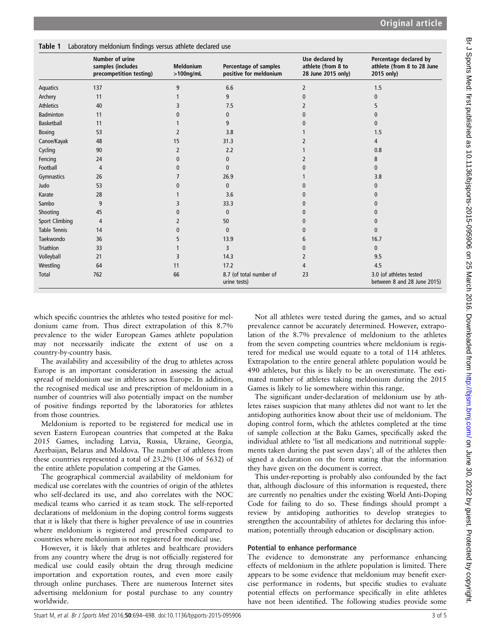|                     | <b>Number of urine</b><br>samples (includes<br>precompetition testing) | <b>Meldonium</b><br>$>100$ ng/mL | Percentage of samples<br>positive for meldonium | Use declared by<br>athlete (from 8 to<br>28 June 2015 only) | Percentage declared by<br>athlete (from 8 to 28 June<br>2015 only) |
|---------------------|------------------------------------------------------------------------|----------------------------------|-------------------------------------------------|-------------------------------------------------------------|--------------------------------------------------------------------|
| Aquatics            | 137                                                                    | 9                                | 6.6                                             | $\overline{2}$                                              | 1.5                                                                |
| Archery             | 11                                                                     |                                  | 9                                               | N                                                           | 0                                                                  |
| <b>Athletics</b>    | 40                                                                     |                                  | 7.5                                             |                                                             |                                                                    |
| <b>Badminton</b>    | 11                                                                     |                                  | 0                                               | N                                                           | 0                                                                  |
| Basketball          | 11                                                                     |                                  | 9                                               |                                                             | 0                                                                  |
| Boxing              | 53                                                                     |                                  | 3.8                                             |                                                             | 1.5                                                                |
| Canoe/Kayak         | 48                                                                     | 15                               | 31.3                                            |                                                             | 4                                                                  |
| Cycling             | 90                                                                     | 2                                | 2.2                                             |                                                             | 0.8                                                                |
| Fencing             | 24                                                                     | 0                                | 0                                               |                                                             | 8                                                                  |
| Football            | 4                                                                      |                                  | $\mathbf{0}$                                    |                                                             | $\mathbf{0}$                                                       |
| Gymnastics          | 26                                                                     |                                  | 26.9                                            |                                                             | 3.8                                                                |
| Judo                | 53                                                                     |                                  | $\mathbf{0}$                                    | 0                                                           | 0                                                                  |
| Karate              | 28                                                                     |                                  | 3.6                                             | 0                                                           | 0                                                                  |
| Sambo               | 9                                                                      |                                  | 33.3                                            | N                                                           | 0                                                                  |
| Shooting            | 45                                                                     |                                  | 0                                               | 0                                                           | 0                                                                  |
| Sport Climbing      | 4                                                                      |                                  | 50                                              | 0                                                           | 0                                                                  |
| <b>Table Tennis</b> | 14                                                                     | 0                                | $\mathbf{0}$                                    | 0                                                           | $\mathbf{0}$                                                       |
| Taekwondo           | 36                                                                     |                                  | 13.9                                            | 6                                                           | 16.7                                                               |
| Triathlon           | 33                                                                     |                                  | 3                                               | 0                                                           | 0                                                                  |
| Volleyball          | 21                                                                     |                                  | 14.3                                            | 2                                                           | 9.5                                                                |
| Wrestling           | 64                                                                     | 11                               | 17.2                                            | 4                                                           | 4.5                                                                |
| <b>Total</b>        | 762                                                                    | 66                               | 8.7 (of total number of<br>urine tests)         | 23                                                          | 3.0 (of athletes tested<br>between 8 and 28 June 2015)             |

<span id="page-2-0"></span>Table 1 Laboratory meldonium findings versus athlete declared use

which specific countries the athletes who tested positive for meldonium came from. Thus direct extrapolation of this 8.7% prevalence to the wider European Games athlete population may not necessarily indicate the extent of use on a country-by-country basis.

The availability and accessibility of the drug to athletes across Europe is an important consideration in assessing the actual spread of meldonium use in athletes across Europe. In addition, the recognised medical use and prescription of meldonium in a number of countries will also potentially impact on the number of positive findings reported by the laboratories for athletes from those countries.

Meldonium is reported to be registered for medical use in seven Eastern European countries that competed at the Baku 2015 Games, including Latvia, Russia, Ukraine, Georgia, Azerbaijan, Belarus and Moldova. The number of athletes from these countries represented a total of 23.2% (1306 of 5632) of the entire athlete population competing at the Games.

The geographical commercial availability of meldonium for medical use correlates with the countries of origin of the athletes who self-declared its use, and also correlates with the NOC medical teams who carried it as team stock. The self-reported declarations of meldonium in the doping control forms suggests that it is likely that there is higher prevalence of use in countries where meldonium is registered and prescribed compared to countries where meldonium is not registered for medical use.

However, it is likely that athletes and healthcare providers from any country where the drug is not officially registered for medical use could easily obtain the drug through medicine importation and exportation routes, and even more easily through online purchases. There are numerous Internet sites advertising meldonium for postal purchase to any country worldwide.

Not all athletes were tested during the games, and so actual prevalence cannot be accurately determined. However, extrapolation of the 8.7% prevalence of meldonium to the athletes from the seven competing countries where meldonium is registered for medical use would equate to a total of 114 athletes. Extrapolation to the entire general athlete population would be 490 athletes, but this is likely to be an overestimate. The estimated number of athletes taking meldonium during the 2015 Games is likely to lie somewhere within this range.

The significant under-declaration of meldonium use by athletes raises suspicion that many athletes did not want to let the antidoping authorities know about their use of meldonium. The doping control form, which the athletes completed at the time of sample collection at the Baku Games, specifically asked the individual athlete to 'list all medications and nutritional supplements taken during the past seven days'; all of the athletes then signed a declaration on the form stating that the information they have given on the document is correct.

This under-reporting is probably also confounded by the fact that, although disclosure of this information is requested, there are currently no penalties under the existing World Anti-Doping Code for failing to do so. These findings should prompt a review by antidoping authorities to develop strategies to strengthen the accountability of athletes for declaring this information; potentially through education or disciplinary action.

## Potential to enhance performance

The evidence to demonstrate any performance enhancing effects of meldonium in the athlete population is limited. There appears to be some evidence that meldonium may benefit exercise performance in rodents, but specific studies to evaluate potential effects on performance specifically in elite athletes have not been identified. The following studies provide some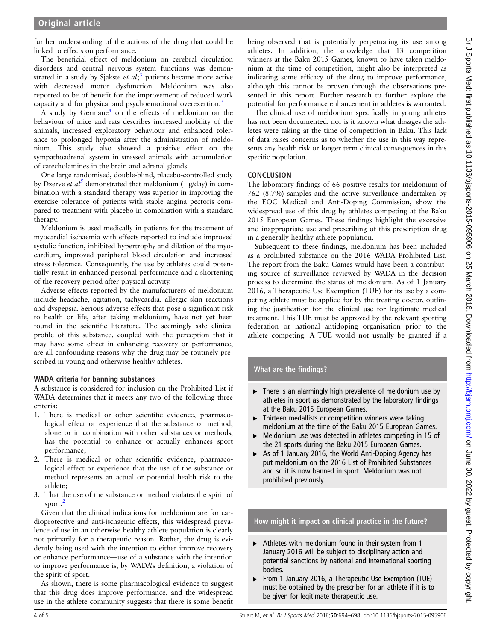further understanding of the actions of the drug that could be linked to effects on performance.

The beneficial effect of meldonium on cerebral circulation disorders and central nervous system functions was demonstrated in a study by Sjakste et  $al$ ;<sup>[3](#page-4-0)</sup> patients became more active with decreased motor dysfunction. Meldonium was also reported to be of benefit for the improvement of reduced work capacity and for physical and psychoemotional overexertion.<sup>[3](#page-4-0)</sup>

A study by Germane<sup>[4](#page-4-0)</sup> on the effects of meldonium on the behaviour of mice and rats describes increased mobility of the animals, increased exploratory behaviour and enhanced tolerance to prolonged hypoxia after the administration of meldonium. This study also showed a positive effect on the sympathoadrenal system in stressed animals with accumulation of catecholamines in the brain and adrenal glands.

One large randomised, double-blind, placebo-controlled study by Dzerve *et al*<sup>[5](#page-4-0)</sup> demonstrated that meldonium (1  $g$ /day) in combination with a standard therapy was superior in improving the exercise tolerance of patients with stable angina pectoris compared to treatment with placebo in combination with a standard therapy.

Meldonium is used medically in patients for the treatment of myocardial ischaemia with effects reported to include improved systolic function, inhibited hypertrophy and dilation of the myocardium, improved peripheral blood circulation and increased stress tolerance. Consequently, the use by athletes could potentially result in enhanced personal performance and a shortening of the recovery period after physical activity.

Adverse effects reported by the manufacturers of meldonium include headache, agitation, tachycardia, allergic skin reactions and dyspepsia. Serious adverse effects that pose a significant risk to health or life, after taking meldonium, have not yet been found in the scientific literature. The seemingly safe clinical profile of this substance, coupled with the perception that it may have some effect in enhancing recovery or performance, are all confounding reasons why the drug may be routinely prescribed in young and otherwise healthy athletes.

## WADA criteria for banning substances

A substance is considered for inclusion on the Prohibited List if WADA determines that it meets any two of the following three criteria:

- 1. There is medical or other scientific evidence, pharmacological effect or experience that the substance or method, alone or in combination with other substances or methods, has the potential to enhance or actually enhances sport performance;
- 2. There is medical or other scientific evidence, pharmacological effect or experience that the use of the substance or method represents an actual or potential health risk to the athlete;
- 3. That the use of the substance or method violates the spirit of sport.<sup>2</sup>

Given that the clinical indications for meldonium are for cardioprotective and anti-ischaemic effects, this widespread prevalence of use in an otherwise healthy athlete population is clearly not primarily for a therapeutic reason. Rather, the drug is evidently being used with the intention to either improve recovery or enhance performance—use of a substance with the intention to improve performance is, by WADA's definition, a violation of the spirit of sport.

As shown, there is some pharmacological evidence to suggest that this drug does improve performance, and the widespread use in the athlete community suggests that there is some benefit being observed that is potentially perpetuating its use among athletes. In addition, the knowledge that 13 competition winners at the Baku 2015 Games, known to have taken meldonium at the time of competition, might also be interpreted as indicating some efficacy of the drug to improve performance, although this cannot be proven through the observations presented in this report. Further research to further explore the potential for performance enhancement in athletes is warranted.

The clinical use of meldonium specifically in young athletes has not been documented, nor is it known what dosages the athletes were taking at the time of competition in Baku. This lack of data raises concerns as to whether the use in this way represents any health risk or longer term clinical consequences in this specific population.

## **CONCLUSION**

The laboratory findings of 66 positive results for meldonium of 762 (8.7%) samples and the active surveillance undertaken by the EOC Medical and Anti-Doping Commission, show the widespread use of this drug by athletes competing at the Baku 2015 European Games. These findings highlight the excessive and inappropriate use and prescribing of this prescription drug in a generally healthy athlete population.

Subsequent to these findings, meldonium has been included as a prohibited substance on the 2016 WADA Prohibited List. The report from the Baku Games would have been a contributing source of surveillance reviewed by WADA in the decision process to determine the status of meldonium. As of 1 January 2016, a Therapeutic Use Exemption (TUE) for its use by a competing athlete must be applied for by the treating doctor, outlining the justification for the clinical use for legitimate medical treatment. This TUE must be approved by the relevant sporting federation or national antidoping organisation prior to the athlete competing. A TUE would not usually be granted if a

## What are the findings?

- ▶ There is an alarmingly high prevalence of meldonium use by athletes in sport as demonstrated by the laboratory findings at the Baku 2015 European Games.
- Thirteen medallists or competition winners were taking meldonium at the time of the Baku 2015 European Games.
- ▸ Meldonium use was detected in athletes competing in 15 of the 21 sports during the Baku 2015 European Games.
- ▶ As of 1 January 2016, the World Anti-Doping Agency has put meldonium on the 2016 List of Prohibited Substances and so it is now banned in sport. Meldonium was not prohibited previously.

## How might it impact on clinical practice in the future?

- ▸ Athletes with meldonium found in their system from 1 January 2016 will be subject to disciplinary action and potential sanctions by national and international sporting bodies.
- ▸ From 1 January 2016, a Therapeutic Use Exemption (TUE) must be obtained by the prescriber for an athlete if it is to be given for legitimate therapeutic use.